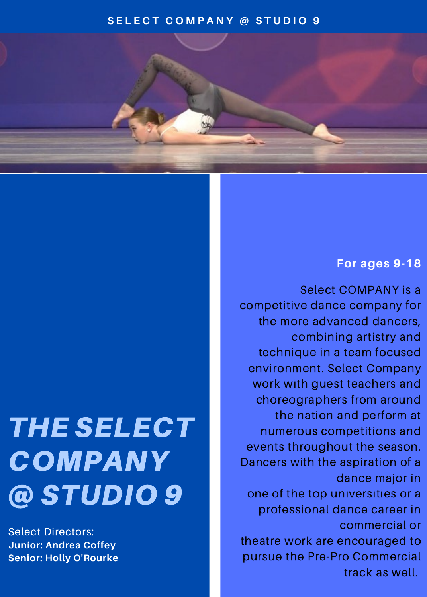## **S E L E C T C O M P A N Y @ S T U D I O 9**

# THE SELECT COMPANY @ STUDIO 9

Select Directors: **Junior: Andrea Coffey Senior: Holly O'Rourke**

## **For ages 9-18**

Select COMPANY is a competitive dance company for the more advanced dancers, combining artistry and technique in a team focused environment. Select Company work with guest teachers and choreographers from around the nation and perform at numerous competitions and events throughout the season. Dancers with the aspiration of a dance major in one of the top universities or a professional dance career in commercial or theatre work are encouraged to pursue the Pre-Pro Commercial track as well.